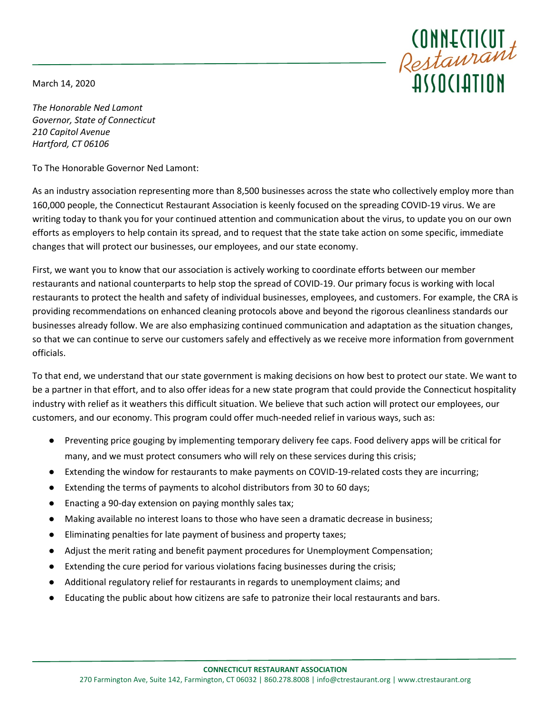March 14, 2020



*The Honorable Ned Lamont Governor, State of Connecticut 210 Capitol Avenue Hartford, CT 06106*

To The Honorable Governor Ned Lamont:

As an industry association representing more than 8,500 businesses across the state who collectively employ more than 160,000 people, the Connecticut Restaurant Association is keenly focused on the spreading COVID-19 virus. We are writing today to thank you for your continued attention and communication about the virus, to update you on our own efforts as employers to help contain its spread, and to request that the state take action on some specific, immediate changes that will protect our businesses, our employees, and our state economy.

First, we want you to know that our association is actively working to coordinate efforts between our member restaurants and national counterparts to help stop the spread of COVID-19. Our primary focus is working with local restaurants to protect the health and safety of individual businesses, employees, and customers. For example, the CRA is providing recommendations on enhanced cleaning protocols above and beyond the rigorous cleanliness standards our businesses already follow. We are also emphasizing continued communication and adaptation as the situation changes, so that we can continue to serve our customers safely and effectively as we receive more information from government officials.

To that end, we understand that our state government is making decisions on how best to protect our state. We want to be a partner in that effort, and to also offer ideas for a new state program that could provide the Connecticut hospitality industry with relief as it weathers this difficult situation. We believe that such action will protect our employees, our customers, and our economy. This program could offer much-needed relief in various ways, such as:

- Preventing price gouging by implementing temporary delivery fee caps. Food delivery apps will be critical for many, and we must protect consumers who will rely on these services during this crisis;
- Extending the window for restaurants to make payments on COVID-19-related costs they are incurring;
- Extending the terms of payments to alcohol distributors from 30 to 60 days;
- Enacting a 90-day extension on paying monthly sales tax;
- Making available no interest loans to those who have seen a dramatic decrease in business;
- Eliminating penalties for late payment of business and property taxes;
- Adjust the merit rating and benefit payment procedures for Unemployment Compensation;
- Extending the cure period for various violations facing businesses during the crisis;
- Additional regulatory relief for restaurants in regards to unemployment claims; and
- Educating the public about how citizens are safe to patronize their local restaurants and bars.